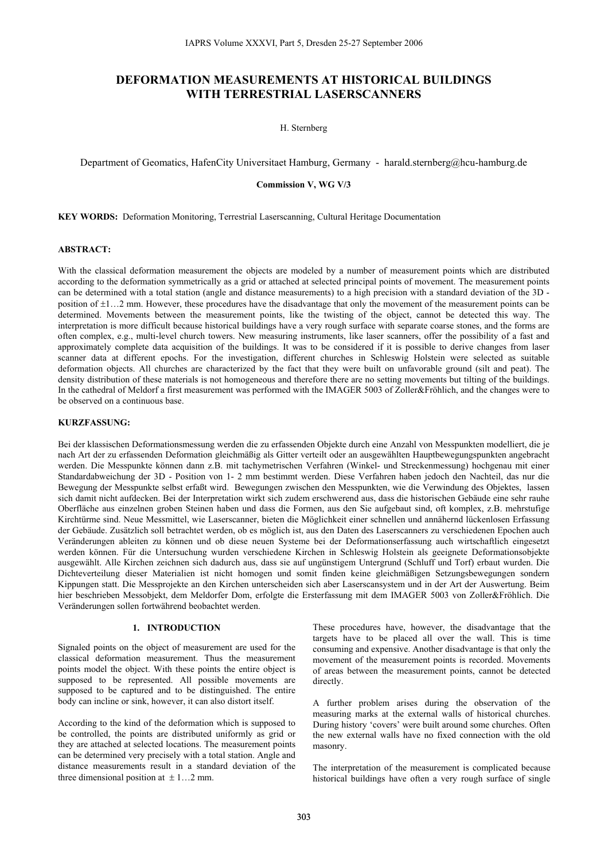# **DEFORMATION MEASUREMENTS AT HISTORICAL BUILDINGS WITH TERRESTRIAL LASERSCANNERS**

H. Sternberg

Department of Geomatics, HafenCity Universitaet Hamburg, Germany - harald.sternberg@hcu-hamburg.de

# **Commission V, WG V/3**

**KEY WORDS:** Deformation Monitoring, Terrestrial Laserscanning, Cultural Heritage Documentation

# **ABSTRACT:**

With the classical deformation measurement the objects are modeled by a number of measurement points which are distributed according to the deformation symmetrically as a grid or attached at selected principal points of movement. The measurement points can be determined with a total station (angle and distance measurements) to a high precision with a standard deviation of the 3D position of  $\pm 1...2$  mm. However, these procedures have the disadvantage that only the movement of the measurement points can be determined. Movements between the measurement points, like the twisting of the object, cannot be detected this way. The interpretation is more difficult because historical buildings have a very rough surface with separate coarse stones, and the forms are often complex, e.g., multi-level church towers. New measuring instruments, like laser scanners, offer the possibility of a fast and approximately complete data acquisition of the buildings. It was to be considered if it is possible to derive changes from laser scanner data at different epochs. For the investigation, different churches in Schleswig Holstein were selected as suitable deformation objects. All churches are characterized by the fact that they were built on unfavorable ground (silt and peat). The density distribution of these materials is not homogeneous and therefore there are no setting movements but tilting of the buildings. In the cathedral of Meldorf a first measurement was performed with the IMAGER 5003 of Zoller&Fröhlich, and the changes were to be observed on a continuous base.

# **KURZFASSUNG:**

Bei der klassischen Deformationsmessung werden die zu erfassenden Objekte durch eine Anzahl von Messpunkten modelliert, die je nach Art der zu erfassenden Deformation gleichmäßig als Gitter verteilt oder an ausgewählten Hauptbewegungspunkten angebracht werden. Die Messpunkte können dann z.B. mit tachymetrischen Verfahren (Winkel- und Streckenmessung) hochgenau mit einer Standardabweichung der 3D - Position von 1- 2 mm bestimmt werden. Diese Verfahren haben jedoch den Nachteil, das nur die Bewegung der Messpunkte selbst erfaßt wird. Bewegungen zwischen den Messpunkten, wie die Verwindung des Objektes, lassen sich damit nicht aufdecken. Bei der Interpretation wirkt sich zudem erschwerend aus, dass die historischen Gebäude eine sehr rauhe Oberfläche aus einzelnen groben Steinen haben und dass die Formen, aus den Sie aufgebaut sind, oft komplex, z.B. mehrstufige Kirchtürme sind. Neue Messmittel, wie Laserscanner, bieten die Möglichkeit einer schnellen und annähernd lückenlosen Erfassung der Gebäude. Zusätzlich soll betrachtet werden, ob es möglich ist, aus den Daten des Laserscanners zu verschiedenen Epochen auch Veränderungen ableiten zu können und ob diese neuen Systeme bei der Deformationserfassung auch wirtschaftlich eingesetzt werden können. Für die Untersuchung wurden verschiedene Kirchen in Schleswig Holstein als geeignete Deformationsobjekte ausgewählt. Alle Kirchen zeichnen sich dadurch aus, dass sie auf ungünstigem Untergrund (Schluff und Torf) erbaut wurden. Die Dichteverteilung dieser Materialien ist nicht homogen und somit finden keine gleichmäßigen Setzungsbewegungen sondern Kippungen statt. Die Messprojekte an den Kirchen unterscheiden sich aber Laserscansystem und in der Art der Auswertung. Beim hier beschrieben Messobjekt, dem Meldorfer Dom, erfolgte die Ersterfassung mit dem IMAGER 5003 von Zoller&Fröhlich. Die Veränderungen sollen fortwährend beobachtet werden.

#### **1. INTRODUCTION**

Signaled points on the object of measurement are used for the classical deformation measurement. Thus the measurement points model the object. With these points the entire object is supposed to be represented. All possible movements are supposed to be captured and to be distinguished. The entire body can incline or sink, however, it can also distort itself.

According to the kind of the deformation which is supposed to be controlled, the points are distributed uniformly as grid or they are attached at selected locations. The measurement points can be determined very precisely with a total station. Angle and distance measurements result in a standard deviation of the three dimensional position at  $\pm 1$ ...2 mm.

These procedures have, however, the disadvantage that the targets have to be placed all over the wall. This is time consuming and expensive. Another disadvantage is that only the movement of the measurement points is recorded. Movements of areas between the measurement points, cannot be detected directly.

A further problem arises during the observation of the measuring marks at the external walls of historical churches. During history 'covers' were built around some churches. Often the new external walls have no fixed connection with the old masonry.

The interpretation of the measurement is complicated because historical buildings have often a very rough surface of single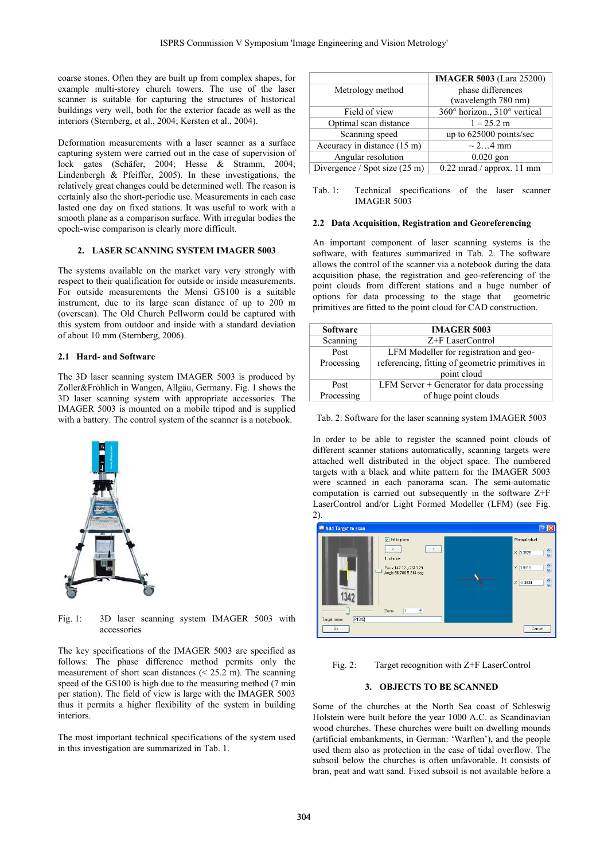coarse stones. Often they are built up from complex shapes, for example multi-storey church towers. The use of the laser scanner is suitable for capturing the structures of historical buildings very well, both for the exterior facade as well as the interiors (Sternberg, et al., 2004; Kersten et al., 2004).

Deformation measurements with a laser scanner as a surface capturing system were carried out in the case of supervision of lock gates (Schäfer, 2004; Hesse & Stramm, 2004; Lindenbergh & Pfeiffer, 2005). In these investigations, the relatively great changes could be determined well. The reason is certainly also the short-periodic use. Measurements in each case lasted one day on fixed stations. It was useful to work with a smooth plane as a comparison surface. With irregular bodies the epoch-wise comparison is clearly more difficult.

# **2. LASER SCANNING SYSTEM IMAGER 5003**

The systems available on the market vary very strongly with respect to their qualification for outside or inside measurements. For outside measurements the Mensi GS100 is a suitable instrument, due to its large scan distance of up to 200 m (overscan). The Old Church Pellworm could be captured with this system from outdoor and inside with a standard deviation of about 10 mm (Sternberg, 2006).

#### **2.1 Hard- and Software**

The 3D laser scanning system IMAGER 5003 is produced by Zoller&Fröhlich in Wangen, Allgäu, Germany. Fig. 1 shows the 3D laser scanning system with appropriate accessories. The IMAGER 5003 is mounted on a mobile tripod and is supplied with a battery. The control system of the scanner is a notebook.



Fig. 1: 3D laser scanning system IMAGER 5003 with accessories

The key specifications of the IMAGER 5003 are specified as follows: The phase difference method permits only the measurement of short scan distances ( $\leq 25.2$  m). The scanning speed of the GS100 is high due to the measuring method (7 min) per station). The field of view is large with the IMAGER 5003 thus it permits a higher flexibility of the system in building interiors.

The most important technical specifications of the system used in this investigation are summarized in Tab. 1.

|                               | <b>IMAGER 5003</b> (Lara 25200) |
|-------------------------------|---------------------------------|
| Metrology method              | phase differences               |
|                               | (wavelength 780 nm)             |
| Field of view                 | 360° horizon., 310° vertical    |
| Optimal scan distance         | $1 - 25.2$ m                    |
| Scanning speed                | up to 625000 points/sec         |
| Accuracy in distance (15 m)   | $\sim$ 24 mm                    |
| Angular resolution            | $0.020$ gon                     |
| Divergence / Spot size (25 m) | $0.22$ mrad / approx. 11 mm     |
|                               |                                 |

Tab. 1: Technical specifications of the laser scanner IMAGER 5003

#### **2.2 Data Acquisition, Registration and Georeferencing**

An important component of laser scanning systems is the software, with features summarized in Tab. 2. The software allows the control of the scanner via a notebook during the data acquisition phase, the registration and geo-referencing of the point clouds from different stations and a huge number of options for data processing to the stage that geometric primitives are fitted to the point cloud for CAD construction.

| <b>Software</b> | <b>IMAGER 5003</b>                              |
|-----------------|-------------------------------------------------|
| Scanning        | Z+F LaserControl                                |
| Post            | LFM Modeller for registration and geo-          |
| Processing      | referencing, fitting of geometric primitives in |
|                 | point cloud                                     |
| Post            | LFM Server $+$ Generator for data processing    |
| Processing      | of huge point clouds                            |

Tab. 2: Software for the laser scanning system IMAGER 5003

In order to be able to register the scanned point clouds of different scanner stations automatically, scanning targets were attached well distributed in the object space. The numbered targets with a black and white pattern for the IMAGER 5003 were scanned in each panorama scan. The semi-automatic computation is carried out subsequently in the software Z+F LaserControl and/or Light Formed Modeller (LFM) (see Fig. 2).



Fig. 2: Target recognition with Z+F LaserControl

# **3. OBJECTS TO BE SCANNED**

Some of the churches at the North Sea coast of Schleswig Holstein were built before the year 1000 A.C. as Scandinavian wood churches. These churches were built on dwelling mounds (artificial embankments, in German: 'Warften'), and the people used them also as protection in the case of tidal overflow. The subsoil below the churches is often unfavorable. It consists of bran, peat and watt sand. Fixed subsoil is not available before a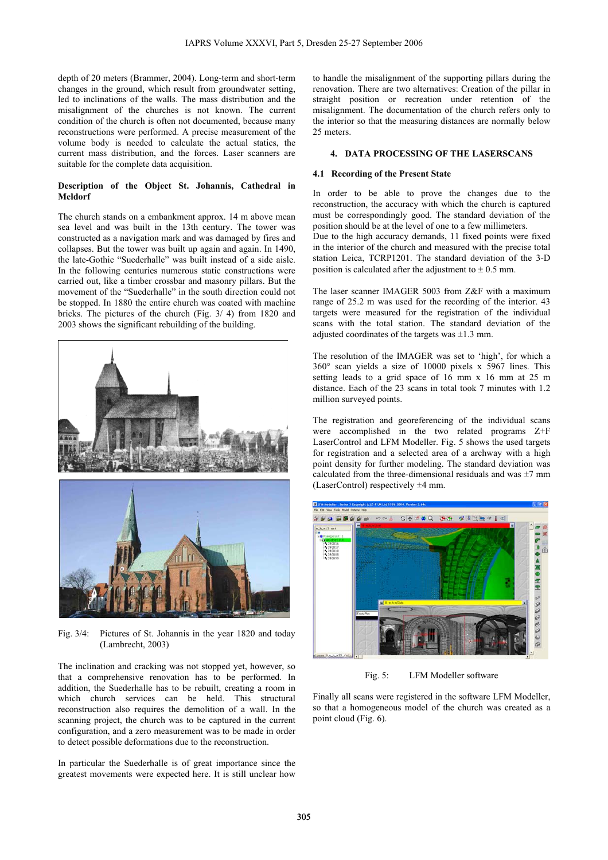depth of 20 meters (Brammer, 2004). Long-term and short-term changes in the ground, which result from groundwater setting, led to inclinations of the walls. The mass distribution and the misalignment of the churches is not known. The current condition of the church is often not documented, because many reconstructions were performed. A precise measurement of the volume body is needed to calculate the actual statics, the current mass distribution, and the forces. Laser scanners are suitable for the complete data acquisition.

# **Description of the Object St. Johannis, Cathedral in Meldorf**

The church stands on a embankment approx. 14 m above mean sea level and was built in the 13th century. The tower was constructed as a navigation mark and was damaged by fires and collapses. But the tower was built up again and again. In 1490, the late-Gothic "Suederhalle" was built instead of a side aisle. In the following centuries numerous static constructions were carried out, like a timber crossbar and masonry pillars. But the movement of the "Suederhalle" in the south direction could not be stopped. In 1880 the entire church was coated with machine bricks. The pictures of the church (Fig. 3/ 4) from 1820 and 2003 shows the significant rebuilding of the building.



Fig. 3/4: Pictures of St. Johannis in the year 1820 and today (Lambrecht, 2003)

The inclination and cracking was not stopped yet, however, so that a comprehensive renovation has to be performed. In addition, the Suederhalle has to be rebuilt, creating a room in which church services can be held. This structural reconstruction also requires the demolition of a wall. In the scanning project, the church was to be captured in the current configuration, and a zero measurement was to be made in order to detect possible deformations due to the reconstruction.

In particular the Suederhalle is of great importance since the greatest movements were expected here. It is still unclear how to handle the misalignment of the supporting pillars during the renovation. There are two alternatives: Creation of the pillar in straight position or recreation under retention of the misalignment. The documentation of the church refers only to the interior so that the measuring distances are normally below 25 meters.

### **4. DATA PROCESSING OF THE LASERSCANS**

#### **4.1 Recording of the Present State**

In order to be able to prove the changes due to the reconstruction, the accuracy with which the church is captured must be correspondingly good. The standard deviation of the position should be at the level of one to a few millimeters. Due to the high accuracy demands, 11 fixed points were fixed in the interior of the church and measured with the precise total station Leica, TCRP1201. The standard deviation of the 3-D position is calculated after the adjustment to  $\pm$  0.5 mm.

The laser scanner IMAGER 5003 from Z&F with a maximum range of 25.2 m was used for the recording of the interior. 43 targets were measured for the registration of the individual scans with the total station. The standard deviation of the adjusted coordinates of the targets was  $\pm 1.3$  mm.

The resolution of the IMAGER was set to 'high', for which a 360° scan yields a size of 10000 pixels x 5967 lines. This setting leads to a grid space of 16 mm x 16 mm at 25 m distance. Each of the 23 scans in total took 7 minutes with 1.2 million surveyed points.

The registration and georeferencing of the individual scans were accomplished in the two related programs Z+F LaserControl and LFM Modeller. Fig. 5 shows the used targets for registration and a selected area of a archway with a high point density for further modeling. The standard deviation was calculated from the three-dimensional residuals and was  $\pm$ 7 mm (LaserControl) respectively ±4 mm.



Fig. 5: LFM Modeller software

Finally all scans were registered in the software LFM Modeller, so that a homogeneous model of the church was created as a point cloud (Fig. 6).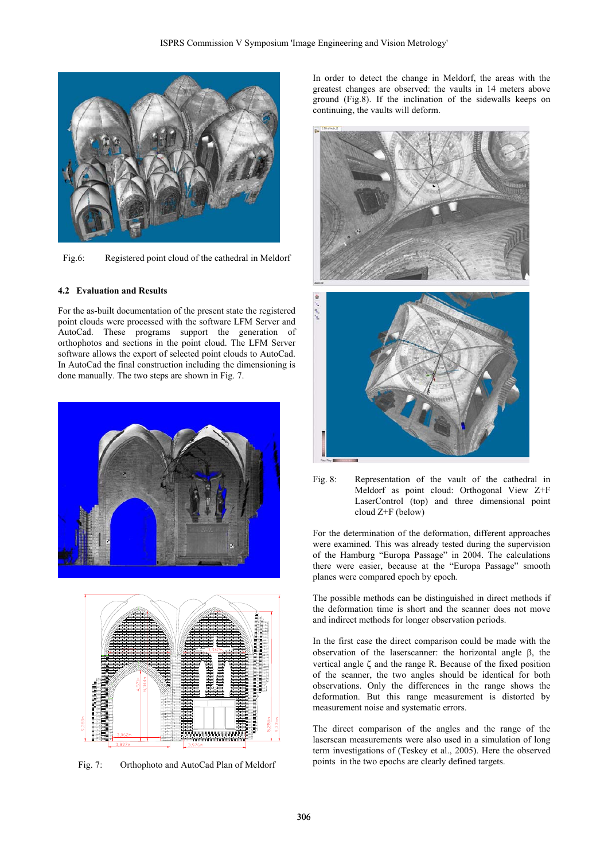

Fig.6: Registered point cloud of the cathedral in Meldorf

## **4.2 Evaluation and Results**

For the as-built documentation of the present state the registered point clouds were processed with the software LFM Server and AutoCad. These programs support the generation of orthophotos and sections in the point cloud. The LFM Server software allows the export of selected point clouds to AutoCad. In AutoCad the final construction including the dimensioning is done manually. The two steps are shown in Fig. 7.





Fig. 7: Orthophoto and AutoCad Plan of Meldorf

In order to detect the change in Meldorf, the areas with the greatest changes are observed: the vaults in 14 meters above ground (Fig.8). If the inclination of the sidewalls keeps on continuing, the vaults will deform.



Fig. 8: Representation of the vault of the cathedral in Meldorf as point cloud: Orthogonal View Z+F LaserControl (top) and three dimensional point cloud Z+F (below)

For the determination of the deformation, different approaches were examined. This was already tested during the supervision of the Hamburg "Europa Passage" in 2004. The calculations there were easier, because at the "Europa Passage" smooth planes were compared epoch by epoch.

The possible methods can be distinguished in direct methods if the deformation time is short and the scanner does not move and indirect methods for longer observation periods.

In the first case the direct comparison could be made with the observation of the laserscanner: the horizontal angle β, the vertical angle ζ and the range R. Because of the fixed position of the scanner, the two angles should be identical for both observations. Only the differences in the range shows the deformation. But this range measurement is distorted by measurement noise and systematic errors.

The direct comparison of the angles and the range of the laserscan measurements were also used in a simulation of long term investigations of (Teskey et al., 2005). Here the observed points in the two epochs are clearly defined targets.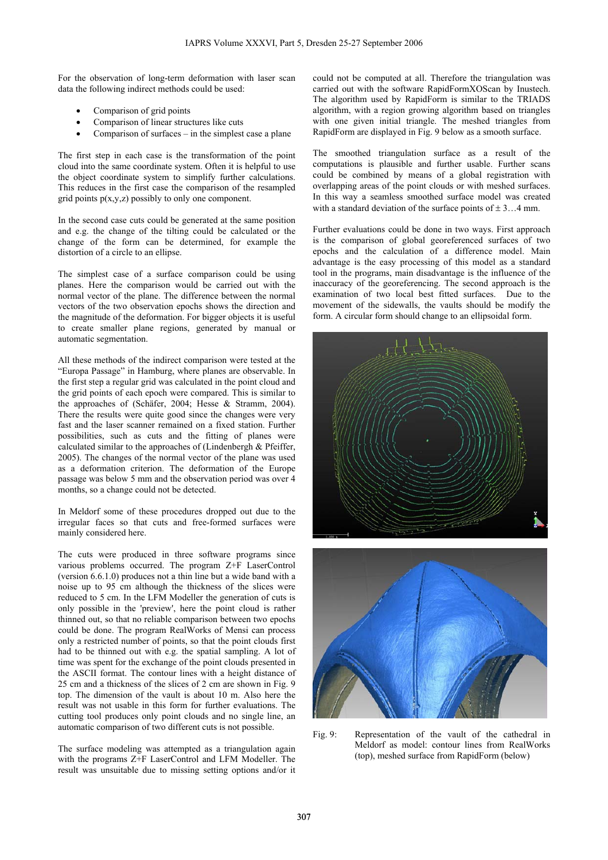For the observation of long-term deformation with laser scan data the following indirect methods could be used:

- Comparison of grid points
- Comparison of linear structures like cuts
- Comparison of surfaces  $-$  in the simplest case a plane

The first step in each case is the transformation of the point cloud into the same coordinate system. Often it is helpful to use the object coordinate system to simplify further calculations. This reduces in the first case the comparison of the resampled grid points  $p(x,y,z)$  possibly to only one component.

In the second case cuts could be generated at the same position and e.g. the change of the tilting could be calculated or the change of the form can be determined, for example the distortion of a circle to an ellipse.

The simplest case of a surface comparison could be using planes. Here the comparison would be carried out with the normal vector of the plane. The difference between the normal vectors of the two observation epochs shows the direction and the magnitude of the deformation. For bigger objects it is useful to create smaller plane regions, generated by manual or automatic segmentation.

All these methods of the indirect comparison were tested at the "Europa Passage" in Hamburg, where planes are observable. In the first step a regular grid was calculated in the point cloud and the grid points of each epoch were compared. This is similar to the approaches of (Schäfer, 2004; Hesse & Stramm, 2004). There the results were quite good since the changes were very fast and the laser scanner remained on a fixed station. Further possibilities, such as cuts and the fitting of planes were calculated similar to the approaches of (Lindenbergh & Pfeiffer, 2005). The changes of the normal vector of the plane was used as a deformation criterion. The deformation of the Europe passage was below 5 mm and the observation period was over 4 months, so a change could not be detected.

In Meldorf some of these procedures dropped out due to the irregular faces so that cuts and free-formed surfaces were mainly considered here.

The cuts were produced in three software programs since various problems occurred. The program Z+F LaserControl (version 6.6.1.0) produces not a thin line but a wide band with a noise up to 95 cm although the thickness of the slices were reduced to 5 cm. In the LFM Modeller the generation of cuts is only possible in the 'preview', here the point cloud is rather thinned out, so that no reliable comparison between two epochs could be done. The program RealWorks of Mensi can process only a restricted number of points, so that the point clouds first had to be thinned out with e.g. the spatial sampling. A lot of time was spent for the exchange of the point clouds presented in the ASCII format. The contour lines with a height distance of 25 cm and a thickness of the slices of 2 cm are shown in Fig. 9 top. The dimension of the vault is about 10 m. Also here the result was not usable in this form for further evaluations. The cutting tool produces only point clouds and no single line, an automatic comparison of two different cuts is not possible.

The surface modeling was attempted as a triangulation again with the programs Z+F LaserControl and LFM Modeller. The result was unsuitable due to missing setting options and/or it could not be computed at all. Therefore the triangulation was carried out with the software RapidFormXOScan by Inustech. The algorithm used by RapidForm is similar to the TRIADS algorithm, with a region growing algorithm based on triangles with one given initial triangle. The meshed triangles from RapidForm are displayed in Fig. 9 below as a smooth surface.

The smoothed triangulation surface as a result of the computations is plausible and further usable. Further scans could be combined by means of a global registration with overlapping areas of the point clouds or with meshed surfaces. In this way a seamless smoothed surface model was created with a standard deviation of the surface points of  $\pm 3$ ...4 mm.

Further evaluations could be done in two ways. First approach is the comparison of global georeferenced surfaces of two epochs and the calculation of a difference model. Main advantage is the easy processing of this model as a standard tool in the programs, main disadvantage is the influence of the inaccuracy of the georeferencing. The second approach is the examination of two local best fitted surfaces. Due to the movement of the sidewalls, the vaults should be modify the form. A circular form should change to an ellipsoidal form.





Fig. 9: Representation of the vault of the cathedral in Meldorf as model: contour lines from RealWorks (top), meshed surface from RapidForm (below)